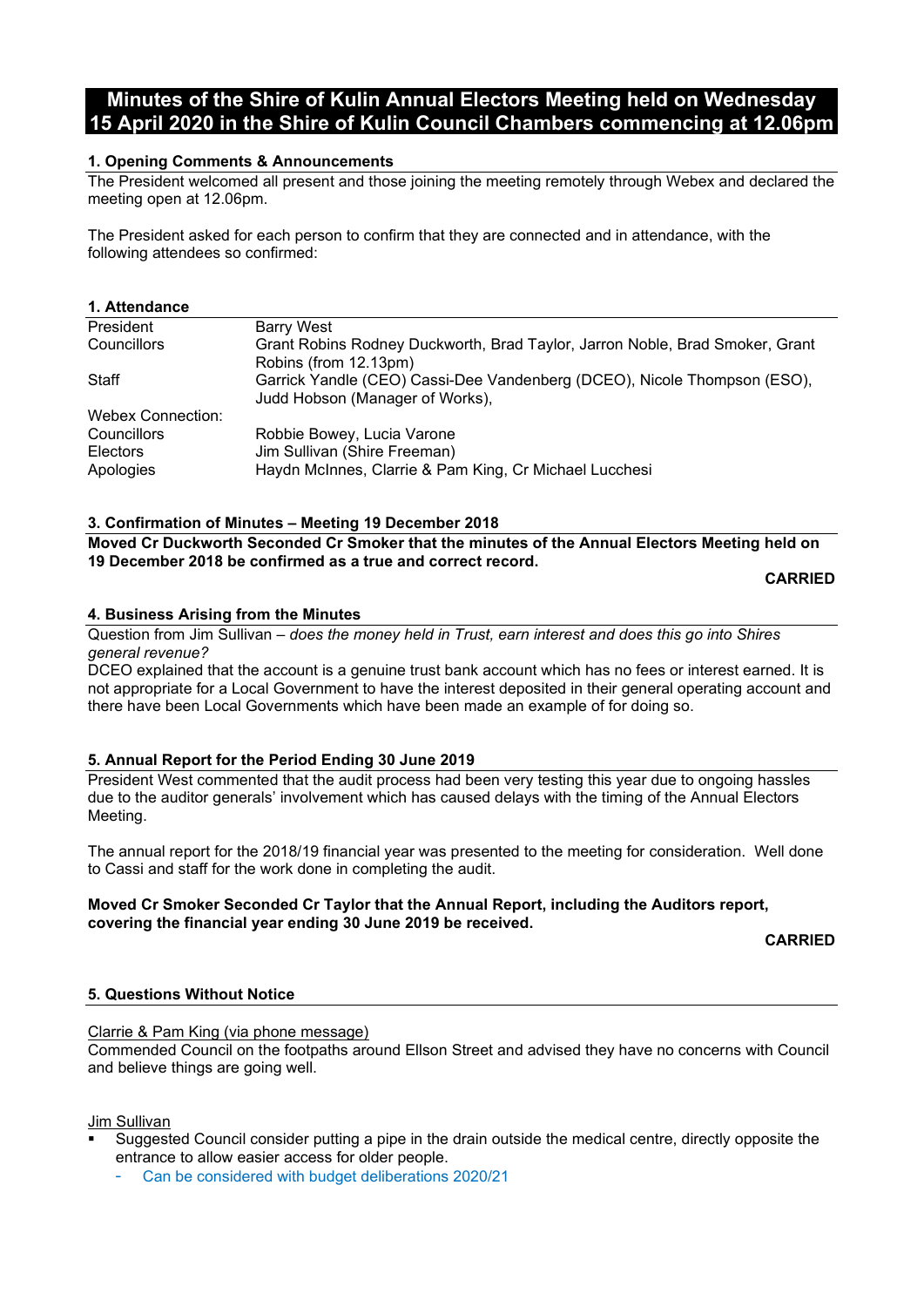# **Minutes of the Shire of Kulin Annual Electors Meeting held on Wednesday 15 April 2020 in the Shire of Kulin Council Chambers commencing at 12.06pm**

## **1. Opening Comments & Announcements**

The President welcomed all present and those joining the meeting remotely through Webex and declared the meeting open at 12.06pm.

The President asked for each person to confirm that they are connected and in attendance, with the following attendees so confirmed:

#### **1. Attendance**

| President                | <b>Barry West</b>                                                                                           |
|--------------------------|-------------------------------------------------------------------------------------------------------------|
| Councillors              | Grant Robins Rodney Duckworth, Brad Taylor, Jarron Noble, Brad Smoker, Grant                                |
|                          | Robins (from 12.13pm)                                                                                       |
| Staff                    | Garrick Yandle (CEO) Cassi-Dee Vandenberg (DCEO), Nicole Thompson (ESO),<br>Judd Hobson (Manager of Works), |
| <b>Webex Connection:</b> |                                                                                                             |
| Councillors              | Robbie Bowey, Lucia Varone                                                                                  |
| <b>Electors</b>          | Jim Sullivan (Shire Freeman)                                                                                |
| Apologies                | Haydn McInnes, Clarrie & Pam King, Cr Michael Lucchesi                                                      |

#### **3. Confirmation of Minutes – Meeting 19 December 2018**

**Moved Cr Duckworth Seconded Cr Smoker that the minutes of the Annual Electors Meeting held on 19 December 2018 be confirmed as a true and correct record.**

**CARRIED**

#### **4. Business Arising from the Minutes**

Question from Jim Sullivan – *does the money held in Trust, earn interest and does this go into Shires general revenue?*

DCEO explained that the account is a genuine trust bank account which has no fees or interest earned. It is not appropriate for a Local Government to have the interest deposited in their general operating account and there have been Local Governments which have been made an example of for doing so.

## **5. Annual Report for the Period Ending 30 June 2019**

President West commented that the audit process had been very testing this year due to ongoing hassles due to the auditor generals' involvement which has caused delays with the timing of the Annual Electors Meeting.

The annual report for the 2018/19 financial year was presented to the meeting for consideration. Well done to Cassi and staff for the work done in completing the audit.

#### **Moved Cr Smoker Seconded Cr Taylor that the Annual Report, including the Auditors report, covering the financial year ending 30 June 2019 be received.**

**CARRIED**

## **5. Questions Without Notice**

Clarrie & Pam King (via phone message)

Commended Council on the footpaths around Ellson Street and advised they have no concerns with Council and believe things are going well.

Jim Sullivan

 Suggested Council consider putting a pipe in the drain outside the medical centre, directly opposite the entrance to allow easier access for older people.

Can be considered with budget deliberations 2020/21